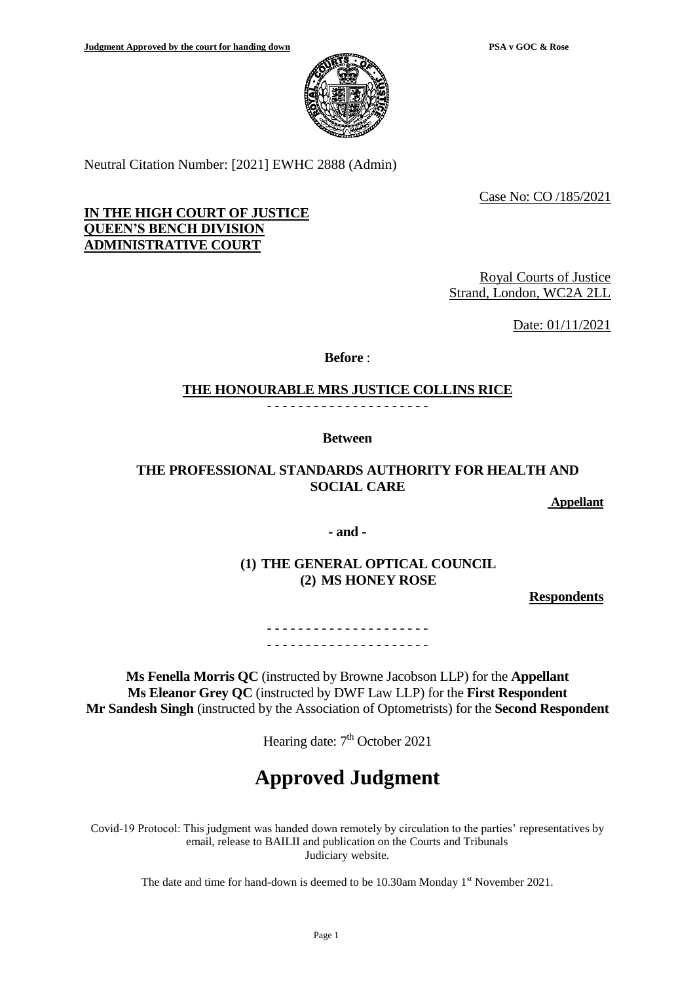

Neutral Citation Number: [2021] EWHC 2888 (Admin)

Case No: CO /185/2021

# **IN THE HIGH COURT OF JUSTICE QUEEN'S BENCH DIVISION ADMINISTRATIVE COURT**

Royal Courts of Justice Strand, London, WC2A 2LL

Date: 01/11/2021

**Before** :

## **THE HONOURABLE MRS JUSTICE COLLINS RICE**

- - - - - - - - - - - - - - - - - - - - -

**Between**

# **THE PROFESSIONAL STANDARDS AUTHORITY FOR HEALTH AND SOCIAL CARE**

**Appellant**

**- and -**

**(1) THE GENERAL OPTICAL COUNCIL (2) MS HONEY ROSE**

**Respondents**

- - - - - - - - - - - - - - - - - - - - - - - - - - - - - - - - - - - - - - - - - -

**Ms Fenella Morris QC** (instructed by Browne Jacobson LLP) for the **Appellant Ms Eleanor Grey QC** (instructed by DWF Law LLP) for the **First Respondent Mr Sandesh Singh** (instructed by the Association of Optometrists) for the **Second Respondent** 

Hearing date: 7<sup>th</sup> October 2021

**Approved Judgment**

Covid-19 Protocol: This judgment was handed down remotely by circulation to the parties' representatives by email, release to BAILII and publication on the Courts and Tribunals Judiciary website.

The date and time for hand-down is deemed to be 10.30am Monday 1<sup>st</sup> November 2021.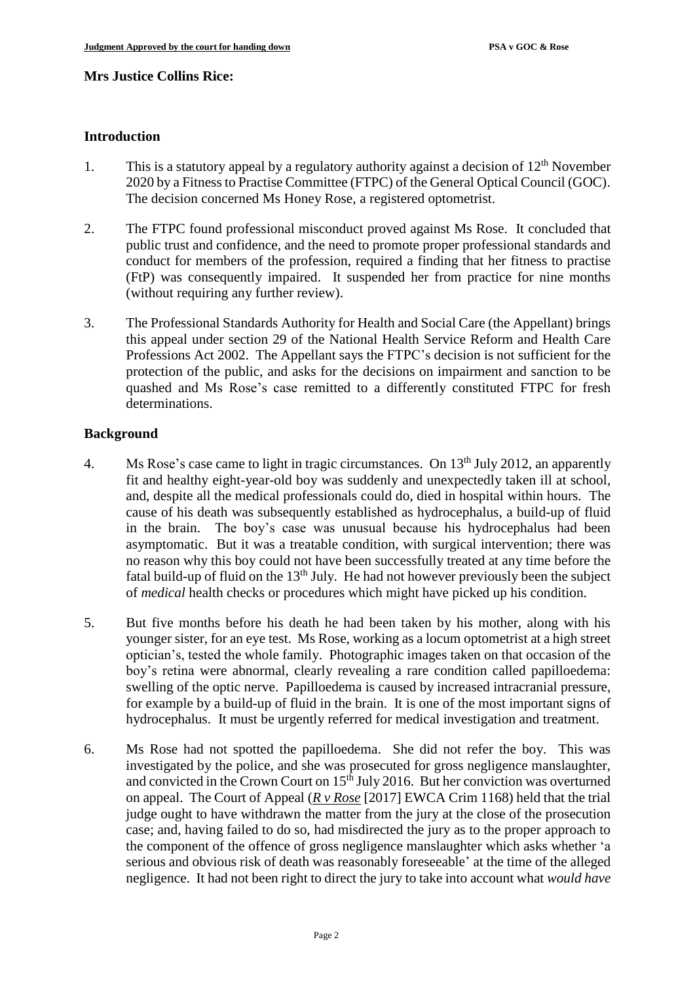### **Mrs Justice Collins Rice:**

## **Introduction**

- 1. This is a statutory appeal by a regulatory authority against a decision of 12<sup>th</sup> November 2020 by a Fitness to Practise Committee (FTPC) of the General Optical Council (GOC). The decision concerned Ms Honey Rose, a registered optometrist.
- 2. The FTPC found professional misconduct proved against Ms Rose. It concluded that public trust and confidence, and the need to promote proper professional standards and conduct for members of the profession, required a finding that her fitness to practise (FtP) was consequently impaired. It suspended her from practice for nine months (without requiring any further review).
- 3. The Professional Standards Authority for Health and Social Care (the Appellant) brings this appeal under section 29 of the National Health Service Reform and Health Care Professions Act 2002. The Appellant says the FTPC's decision is not sufficient for the protection of the public, and asks for the decisions on impairment and sanction to be quashed and Ms Rose's case remitted to a differently constituted FTPC for fresh determinations.

## **Background**

- 4. Ms Rose's case came to light in tragic circumstances. On 13<sup>th</sup> July 2012, an apparently fit and healthy eight-year-old boy was suddenly and unexpectedly taken ill at school, and, despite all the medical professionals could do, died in hospital within hours. The cause of his death was subsequently established as hydrocephalus, a build-up of fluid in the brain. The boy's case was unusual because his hydrocephalus had been asymptomatic. But it was a treatable condition, with surgical intervention; there was no reason why this boy could not have been successfully treated at any time before the fatal build-up of fluid on the  $13<sup>th</sup>$  July. He had not however previously been the subject of *medical* health checks or procedures which might have picked up his condition.
- 5. But five months before his death he had been taken by his mother, along with his younger sister, for an eye test. Ms Rose, working as a locum optometrist at a high street optician's, tested the whole family. Photographic images taken on that occasion of the boy's retina were abnormal, clearly revealing a rare condition called papilloedema: swelling of the optic nerve. Papilloedema is caused by increased intracranial pressure, for example by a build-up of fluid in the brain. It is one of the most important signs of hydrocephalus. It must be urgently referred for medical investigation and treatment.
- 6. Ms Rose had not spotted the papilloedema. She did not refer the boy. This was investigated by the police, and she was prosecuted for gross negligence manslaughter, and convicted in the Crown Court on  $15<sup>th</sup>$  July 2016. But her conviction was overturned on appeal. The Court of Appeal (*R v Rose* [2017] EWCA Crim 1168) held that the trial judge ought to have withdrawn the matter from the jury at the close of the prosecution case; and, having failed to do so, had misdirected the jury as to the proper approach to the component of the offence of gross negligence manslaughter which asks whether 'a serious and obvious risk of death was reasonably foreseeable' at the time of the alleged negligence. It had not been right to direct the jury to take into account what *would have*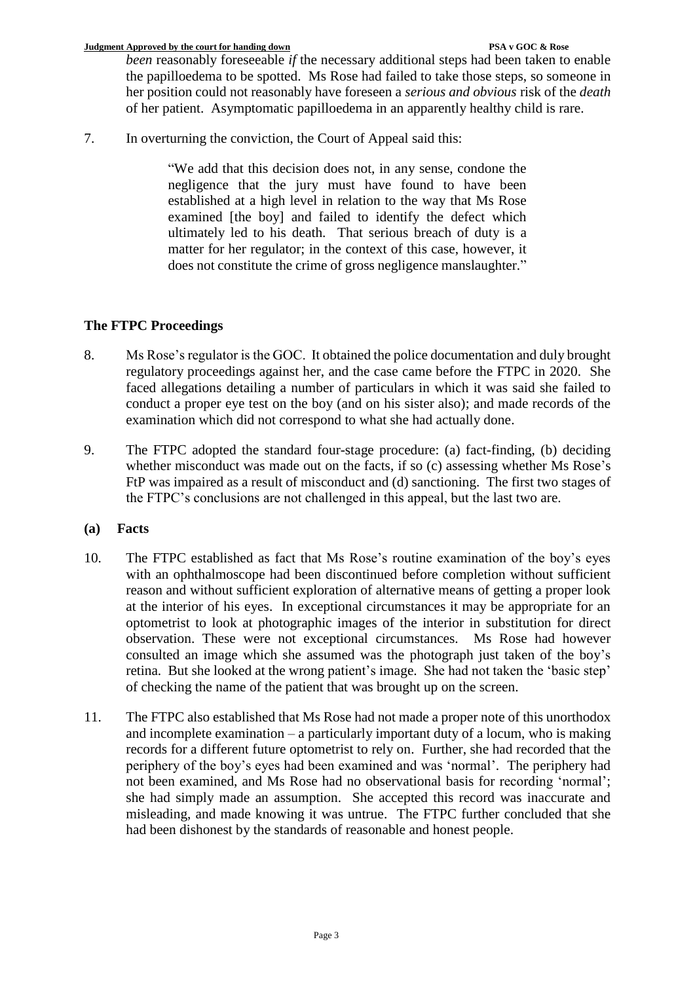*been* reasonably foreseeable *if* the necessary additional steps had been taken to enable the papilloedema to be spotted. Ms Rose had failed to take those steps, so someone in her position could not reasonably have foreseen a *serious and obvious* risk of the *death* of her patient. Asymptomatic papilloedema in an apparently healthy child is rare.

7. In overturning the conviction, the Court of Appeal said this:

"We add that this decision does not, in any sense, condone the negligence that the jury must have found to have been established at a high level in relation to the way that Ms Rose examined [the boy] and failed to identify the defect which ultimately led to his death. That serious breach of duty is a matter for her regulator; in the context of this case, however, it does not constitute the crime of gross negligence manslaughter."

# **The FTPC Proceedings**

- 8. Ms Rose's regulator is the GOC. It obtained the police documentation and duly brought regulatory proceedings against her, and the case came before the FTPC in 2020. She faced allegations detailing a number of particulars in which it was said she failed to conduct a proper eye test on the boy (and on his sister also); and made records of the examination which did not correspond to what she had actually done.
- 9. The FTPC adopted the standard four-stage procedure: (a) fact-finding, (b) deciding whether misconduct was made out on the facts, if so (c) assessing whether Ms Rose's FtP was impaired as a result of misconduct and (d) sanctioning. The first two stages of the FTPC's conclusions are not challenged in this appeal, but the last two are.

# **(a) Facts**

- 10. The FTPC established as fact that Ms Rose's routine examination of the boy's eyes with an ophthalmoscope had been discontinued before completion without sufficient reason and without sufficient exploration of alternative means of getting a proper look at the interior of his eyes. In exceptional circumstances it may be appropriate for an optometrist to look at photographic images of the interior in substitution for direct observation. These were not exceptional circumstances. Ms Rose had however consulted an image which she assumed was the photograph just taken of the boy's retina. But she looked at the wrong patient's image. She had not taken the 'basic step' of checking the name of the patient that was brought up on the screen.
- 11. The FTPC also established that Ms Rose had not made a proper note of this unorthodox and incomplete examination – a particularly important duty of a locum, who is making records for a different future optometrist to rely on. Further, she had recorded that the periphery of the boy's eyes had been examined and was 'normal'. The periphery had not been examined, and Ms Rose had no observational basis for recording 'normal'; she had simply made an assumption. She accepted this record was inaccurate and misleading, and made knowing it was untrue. The FTPC further concluded that she had been dishonest by the standards of reasonable and honest people.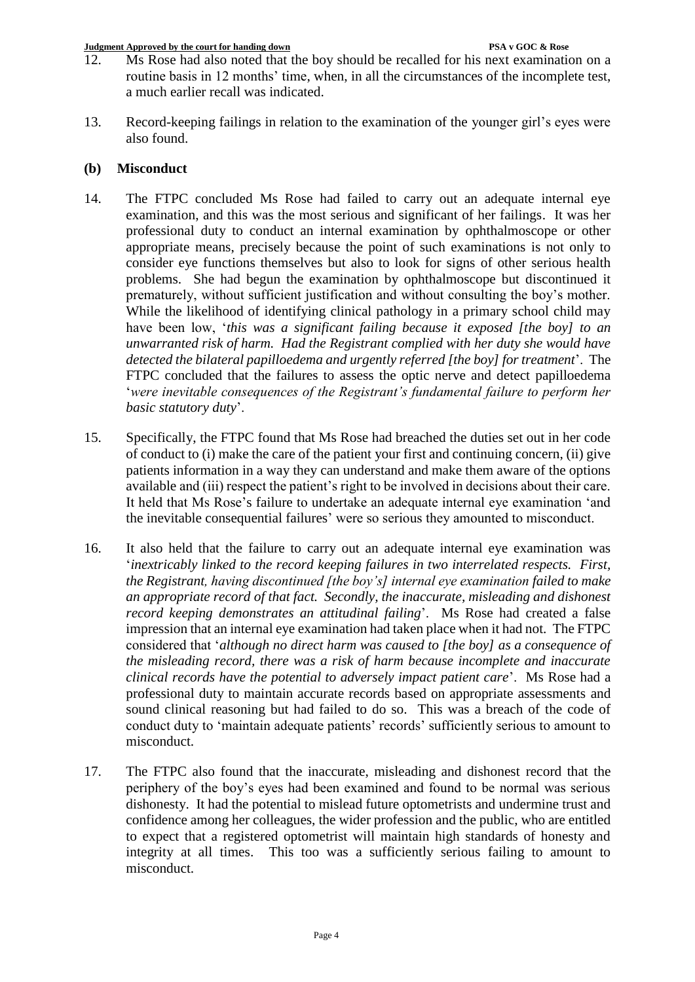- 12. Ms Rose had also noted that the boy should be recalled for his next examination on a routine basis in 12 months' time, when, in all the circumstances of the incomplete test, a much earlier recall was indicated.
- 13. Record-keeping failings in relation to the examination of the younger girl's eyes were also found.

## **(b) Misconduct**

- 14. The FTPC concluded Ms Rose had failed to carry out an adequate internal eye examination, and this was the most serious and significant of her failings. It was her professional duty to conduct an internal examination by ophthalmoscope or other appropriate means, precisely because the point of such examinations is not only to consider eye functions themselves but also to look for signs of other serious health problems. She had begun the examination by ophthalmoscope but discontinued it prematurely, without sufficient justification and without consulting the boy's mother. While the likelihood of identifying clinical pathology in a primary school child may have been low, '*this was a significant failing because it exposed [the boy] to an unwarranted risk of harm. Had the Registrant complied with her duty she would have detected the bilateral papilloedema and urgently referred [the boy] for treatment*'. The FTPC concluded that the failures to assess the optic nerve and detect papilloedema '*were inevitable consequences of the Registrant's fundamental failure to perform her basic statutory duty*'.
- 15. Specifically, the FTPC found that Ms Rose had breached the duties set out in her code of conduct to (i) make the care of the patient your first and continuing concern, (ii) give patients information in a way they can understand and make them aware of the options available and (iii) respect the patient's right to be involved in decisions about their care. It held that Ms Rose's failure to undertake an adequate internal eye examination 'and the inevitable consequential failures' were so serious they amounted to misconduct.
- 16. It also held that the failure to carry out an adequate internal eye examination was '*inextricably linked to the record keeping failures in two interrelated respects. First, the Registrant, having discontinued [the boy's] internal eye examination failed to make an appropriate record of that fact. Secondly, the inaccurate, misleading and dishonest record keeping demonstrates an attitudinal failing*'. Ms Rose had created a false impression that an internal eye examination had taken place when it had not. The FTPC considered that '*although no direct harm was caused to [the boy] as a consequence of the misleading record, there was a risk of harm because incomplete and inaccurate clinical records have the potential to adversely impact patient care*'. Ms Rose had a professional duty to maintain accurate records based on appropriate assessments and sound clinical reasoning but had failed to do so. This was a breach of the code of conduct duty to 'maintain adequate patients' records' sufficiently serious to amount to misconduct.
- 17. The FTPC also found that the inaccurate, misleading and dishonest record that the periphery of the boy's eyes had been examined and found to be normal was serious dishonesty. It had the potential to mislead future optometrists and undermine trust and confidence among her colleagues, the wider profession and the public, who are entitled to expect that a registered optometrist will maintain high standards of honesty and integrity at all times. This too was a sufficiently serious failing to amount to misconduct.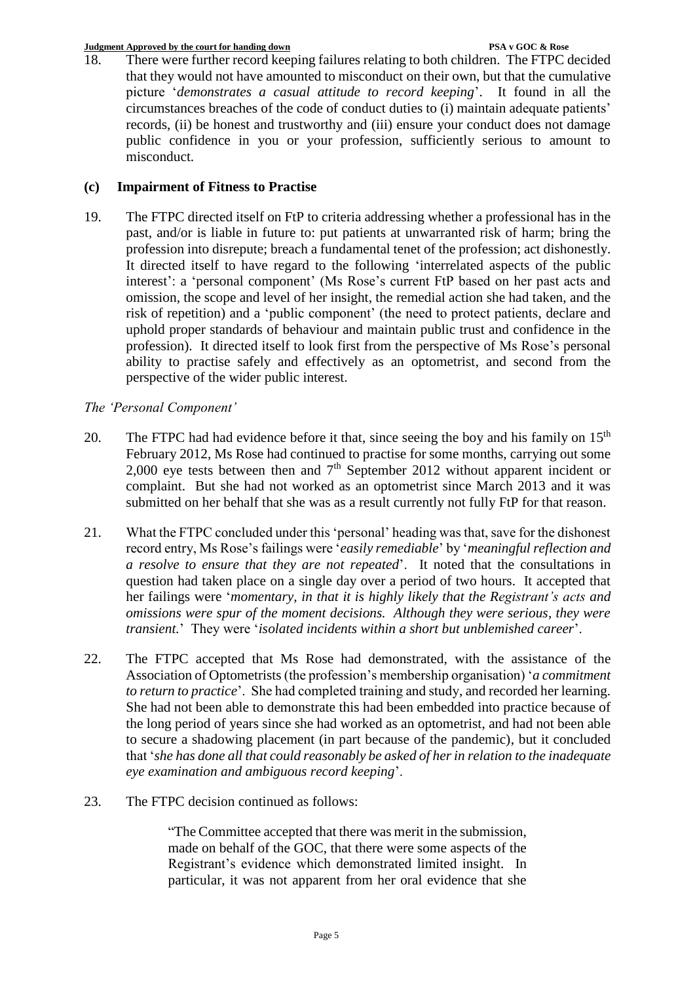18. There were further record keeping failures relating to both children. The FTPC decided that they would not have amounted to misconduct on their own, but that the cumulative picture '*demonstrates a casual attitude to record keeping*'. It found in all the circumstances breaches of the code of conduct duties to (i) maintain adequate patients' records, (ii) be honest and trustworthy and (iii) ensure your conduct does not damage public confidence in you or your profession, sufficiently serious to amount to misconduct.

# **(c) Impairment of Fitness to Practise**

19. The FTPC directed itself on FtP to criteria addressing whether a professional has in the past, and/or is liable in future to: put patients at unwarranted risk of harm; bring the profession into disrepute; breach a fundamental tenet of the profession; act dishonestly. It directed itself to have regard to the following 'interrelated aspects of the public interest': a 'personal component' (Ms Rose's current FtP based on her past acts and omission, the scope and level of her insight, the remedial action she had taken, and the risk of repetition) and a 'public component' (the need to protect patients, declare and uphold proper standards of behaviour and maintain public trust and confidence in the profession). It directed itself to look first from the perspective of Ms Rose's personal ability to practise safely and effectively as an optometrist, and second from the perspective of the wider public interest.

# *The 'Personal Component'*

- 20. The FTPC had had evidence before it that, since seeing the boy and his family on  $15<sup>th</sup>$ February 2012, Ms Rose had continued to practise for some months, carrying out some 2,000 eye tests between then and  $7<sup>th</sup>$  September 2012 without apparent incident or complaint. But she had not worked as an optometrist since March 2013 and it was submitted on her behalf that she was as a result currently not fully FtP for that reason.
- 21. What the FTPC concluded under this 'personal' heading was that, save for the dishonest record entry, Ms Rose's failings were '*easily remediable*' by '*meaningful reflection and a resolve to ensure that they are not repeated*'. It noted that the consultations in question had taken place on a single day over a period of two hours. It accepted that her failings were '*momentary, in that it is highly likely that the Registrant's acts and omissions were spur of the moment decisions. Although they were serious, they were transient.*' They were '*isolated incidents within a short but unblemished career*'.
- 22. The FTPC accepted that Ms Rose had demonstrated, with the assistance of the Association of Optometrists(the profession's membership organisation) '*a commitment to return to practice*'. She had completed training and study, and recorded her learning. She had not been able to demonstrate this had been embedded into practice because of the long period of years since she had worked as an optometrist, and had not been able to secure a shadowing placement (in part because of the pandemic), but it concluded that '*she has done all that could reasonably be asked of her in relation to the inadequate eye examination and ambiguous record keeping*'.
- 23. The FTPC decision continued as follows:

"The Committee accepted that there was merit in the submission, made on behalf of the GOC, that there were some aspects of the Registrant's evidence which demonstrated limited insight. In particular, it was not apparent from her oral evidence that she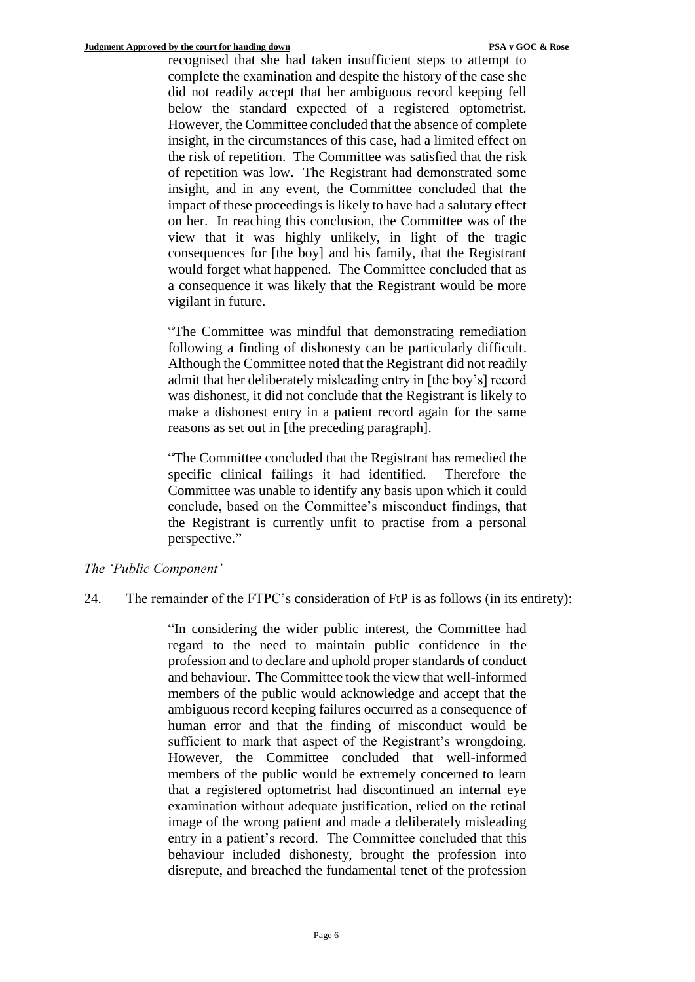recognised that she had taken insufficient steps to attempt to complete the examination and despite the history of the case she did not readily accept that her ambiguous record keeping fell below the standard expected of a registered optometrist. However, the Committee concluded that the absence of complete insight, in the circumstances of this case, had a limited effect on the risk of repetition. The Committee was satisfied that the risk of repetition was low. The Registrant had demonstrated some insight, and in any event, the Committee concluded that the impact of these proceedings is likely to have had a salutary effect on her. In reaching this conclusion, the Committee was of the view that it was highly unlikely, in light of the tragic consequences for [the boy] and his family, that the Registrant would forget what happened. The Committee concluded that as a consequence it was likely that the Registrant would be more vigilant in future.

"The Committee was mindful that demonstrating remediation following a finding of dishonesty can be particularly difficult. Although the Committee noted that the Registrant did not readily admit that her deliberately misleading entry in [the boy's] record was dishonest, it did not conclude that the Registrant is likely to make a dishonest entry in a patient record again for the same reasons as set out in [the preceding paragraph].

"The Committee concluded that the Registrant has remedied the specific clinical failings it had identified. Therefore the Committee was unable to identify any basis upon which it could conclude, based on the Committee's misconduct findings, that the Registrant is currently unfit to practise from a personal perspective."

### *The 'Public Component'*

24. The remainder of the FTPC's consideration of FtP is as follows (in its entirety):

"In considering the wider public interest, the Committee had regard to the need to maintain public confidence in the profession and to declare and uphold proper standards of conduct and behaviour. The Committee took the view that well-informed members of the public would acknowledge and accept that the ambiguous record keeping failures occurred as a consequence of human error and that the finding of misconduct would be sufficient to mark that aspect of the Registrant's wrongdoing. However, the Committee concluded that well-informed members of the public would be extremely concerned to learn that a registered optometrist had discontinued an internal eye examination without adequate justification, relied on the retinal image of the wrong patient and made a deliberately misleading entry in a patient's record. The Committee concluded that this behaviour included dishonesty, brought the profession into disrepute, and breached the fundamental tenet of the profession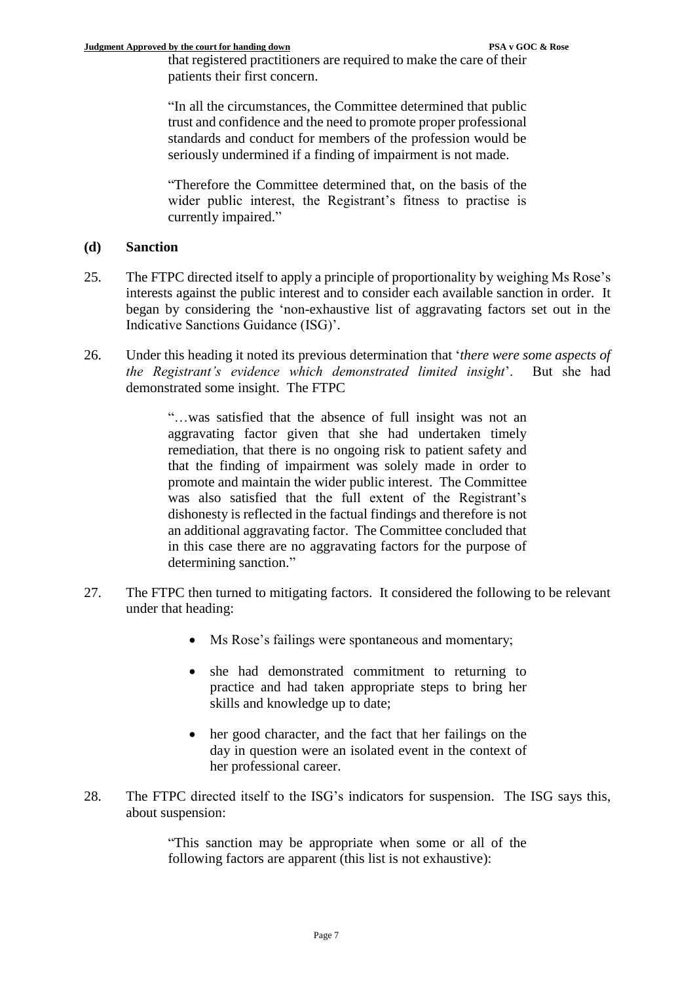that registered practitioners are required to make the care of their patients their first concern.

"In all the circumstances, the Committee determined that public trust and confidence and the need to promote proper professional standards and conduct for members of the profession would be seriously undermined if a finding of impairment is not made.

"Therefore the Committee determined that, on the basis of the wider public interest, the Registrant's fitness to practise is currently impaired."

## **(d) Sanction**

- 25. The FTPC directed itself to apply a principle of proportionality by weighing Ms Rose's interests against the public interest and to consider each available sanction in order. It began by considering the 'non-exhaustive list of aggravating factors set out in the Indicative Sanctions Guidance (ISG)'.
- 26. Under this heading it noted its previous determination that '*there were some aspects of the Registrant's evidence which demonstrated limited insight*'. But she had demonstrated some insight. The FTPC

"…was satisfied that the absence of full insight was not an aggravating factor given that she had undertaken timely remediation, that there is no ongoing risk to patient safety and that the finding of impairment was solely made in order to promote and maintain the wider public interest. The Committee was also satisfied that the full extent of the Registrant's dishonesty is reflected in the factual findings and therefore is not an additional aggravating factor. The Committee concluded that in this case there are no aggravating factors for the purpose of determining sanction."

- 27. The FTPC then turned to mitigating factors. It considered the following to be relevant under that heading:
	- Ms Rose's failings were spontaneous and momentary;
	- she had demonstrated commitment to returning to practice and had taken appropriate steps to bring her skills and knowledge up to date;
	- her good character, and the fact that her failings on the day in question were an isolated event in the context of her professional career.
- 28. The FTPC directed itself to the ISG's indicators for suspension. The ISG says this, about suspension:

"This sanction may be appropriate when some or all of the following factors are apparent (this list is not exhaustive):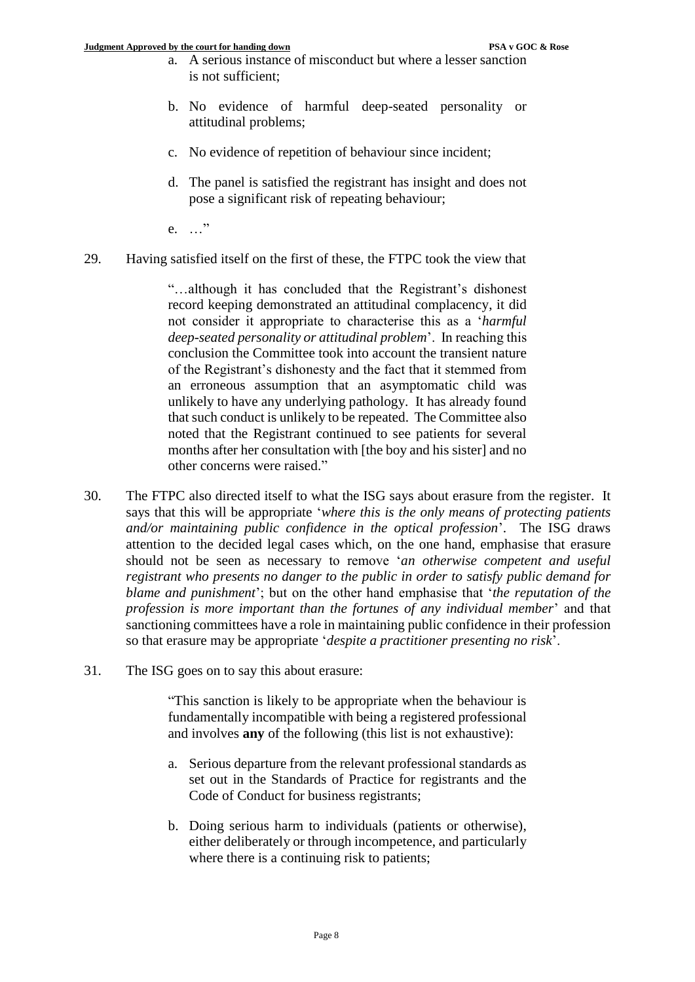- a. A serious instance of misconduct but where a lesser sanction is not sufficient;
- b. No evidence of harmful deep-seated personality or attitudinal problems;
- c. No evidence of repetition of behaviour since incident;
- d. The panel is satisfied the registrant has insight and does not pose a significant risk of repeating behaviour;
- e. …"
- 29. Having satisfied itself on the first of these, the FTPC took the view that

"…although it has concluded that the Registrant's dishonest record keeping demonstrated an attitudinal complacency, it did not consider it appropriate to characterise this as a '*harmful deep-seated personality or attitudinal problem*'. In reaching this conclusion the Committee took into account the transient nature of the Registrant's dishonesty and the fact that it stemmed from an erroneous assumption that an asymptomatic child was unlikely to have any underlying pathology. It has already found that such conduct is unlikely to be repeated. The Committee also noted that the Registrant continued to see patients for several months after her consultation with [the boy and his sister] and no other concerns were raised."

- 30. The FTPC also directed itself to what the ISG says about erasure from the register. It says that this will be appropriate '*where this is the only means of protecting patients and/or maintaining public confidence in the optical profession*'. The ISG draws attention to the decided legal cases which, on the one hand, emphasise that erasure should not be seen as necessary to remove '*an otherwise competent and useful registrant who presents no danger to the public in order to satisfy public demand for blame and punishment*'; but on the other hand emphasise that '*the reputation of the profession is more important than the fortunes of any individual member*' and that sanctioning committees have a role in maintaining public confidence in their profession so that erasure may be appropriate '*despite a practitioner presenting no risk*'.
- 31. The ISG goes on to say this about erasure:

"This sanction is likely to be appropriate when the behaviour is fundamentally incompatible with being a registered professional and involves **any** of the following (this list is not exhaustive):

- a. Serious departure from the relevant professional standards as set out in the Standards of Practice for registrants and the Code of Conduct for business registrants;
- b. Doing serious harm to individuals (patients or otherwise), either deliberately or through incompetence, and particularly where there is a continuing risk to patients;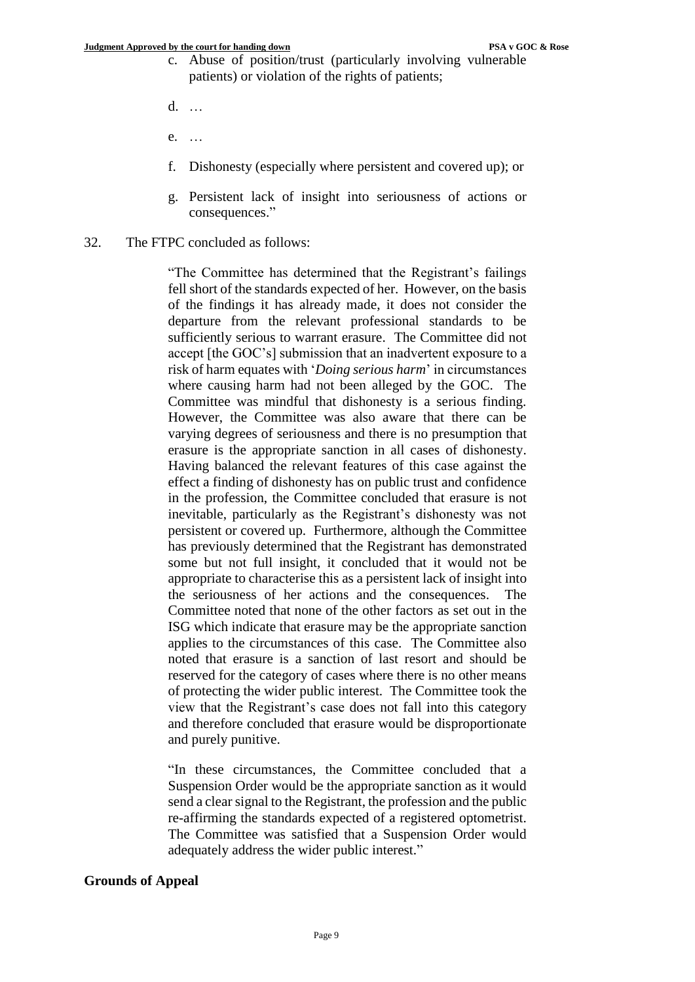- c. Abuse of position/trust (particularly involving vulnerable patients) or violation of the rights of patients;
- d. …
- e. …
- f. Dishonesty (especially where persistent and covered up); or
- g. Persistent lack of insight into seriousness of actions or consequences."
- 32. The FTPC concluded as follows:

"The Committee has determined that the Registrant's failings fell short of the standards expected of her. However, on the basis of the findings it has already made, it does not consider the departure from the relevant professional standards to be sufficiently serious to warrant erasure. The Committee did not accept [the GOC's] submission that an inadvertent exposure to a risk of harm equates with '*Doing serious harm*' in circumstances where causing harm had not been alleged by the GOC. The Committee was mindful that dishonesty is a serious finding. However, the Committee was also aware that there can be varying degrees of seriousness and there is no presumption that erasure is the appropriate sanction in all cases of dishonesty. Having balanced the relevant features of this case against the effect a finding of dishonesty has on public trust and confidence in the profession, the Committee concluded that erasure is not inevitable, particularly as the Registrant's dishonesty was not persistent or covered up. Furthermore, although the Committee has previously determined that the Registrant has demonstrated some but not full insight, it concluded that it would not be appropriate to characterise this as a persistent lack of insight into the seriousness of her actions and the consequences. The Committee noted that none of the other factors as set out in the ISG which indicate that erasure may be the appropriate sanction applies to the circumstances of this case. The Committee also noted that erasure is a sanction of last resort and should be reserved for the category of cases where there is no other means of protecting the wider public interest. The Committee took the view that the Registrant's case does not fall into this category and therefore concluded that erasure would be disproportionate and purely punitive.

"In these circumstances, the Committee concluded that a Suspension Order would be the appropriate sanction as it would send a clear signal to the Registrant, the profession and the public re-affirming the standards expected of a registered optometrist. The Committee was satisfied that a Suspension Order would adequately address the wider public interest."

#### **Grounds of Appeal**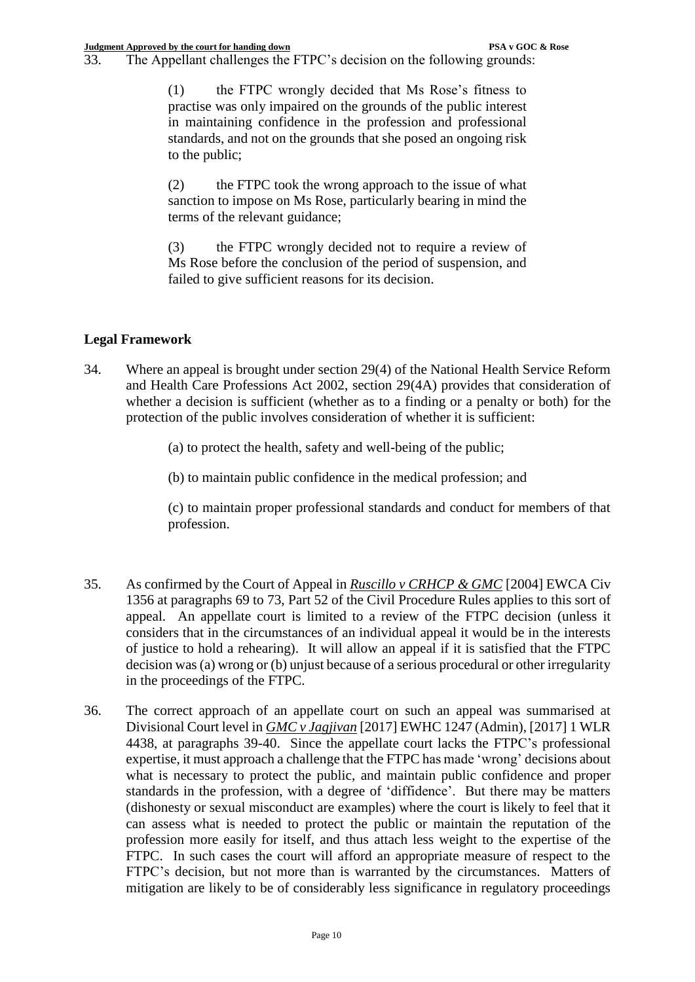33. The Appellant challenges the FTPC's decision on the following grounds:

(1) the FTPC wrongly decided that Ms Rose's fitness to practise was only impaired on the grounds of the public interest in maintaining confidence in the profession and professional standards, and not on the grounds that she posed an ongoing risk to the public;

(2) the FTPC took the wrong approach to the issue of what sanction to impose on Ms Rose, particularly bearing in mind the terms of the relevant guidance;

(3) the FTPC wrongly decided not to require a review of Ms Rose before the conclusion of the period of suspension, and failed to give sufficient reasons for its decision.

# **Legal Framework**

34. Where an appeal is brought under section 29(4) of the National Health Service Reform and Health Care Professions Act 2002, section 29(4A) provides that consideration of whether a decision is sufficient (whether as to a finding or a penalty or both) for the protection of the public involves consideration of whether it is sufficient:

(a) to protect the health, safety and well-being of the public;

(b) to maintain public confidence in the medical profession; and

(c) to maintain proper professional standards and conduct for members of that profession.

- 35. As confirmed by the Court of Appeal in *Ruscillo v CRHCP & GMC* [2004] EWCA Civ 1356 at paragraphs 69 to 73, Part 52 of the Civil Procedure Rules applies to this sort of appeal. An appellate court is limited to a review of the FTPC decision (unless it considers that in the circumstances of an individual appeal it would be in the interests of justice to hold a rehearing). It will allow an appeal if it is satisfied that the FTPC decision was (a) wrong or (b) unjust because of a serious procedural or other irregularity in the proceedings of the FTPC.
- 36. The correct approach of an appellate court on such an appeal was summarised at Divisional Court level in *GMC v Jagjivan* [2017] EWHC 1247 (Admin), [2017] 1 WLR 4438, at paragraphs 39-40. Since the appellate court lacks the FTPC's professional expertise, it must approach a challenge that the FTPC has made 'wrong' decisions about what is necessary to protect the public, and maintain public confidence and proper standards in the profession, with a degree of 'diffidence'. But there may be matters (dishonesty or sexual misconduct are examples) where the court is likely to feel that it can assess what is needed to protect the public or maintain the reputation of the profession more easily for itself, and thus attach less weight to the expertise of the FTPC. In such cases the court will afford an appropriate measure of respect to the FTPC's decision, but not more than is warranted by the circumstances. Matters of mitigation are likely to be of considerably less significance in regulatory proceedings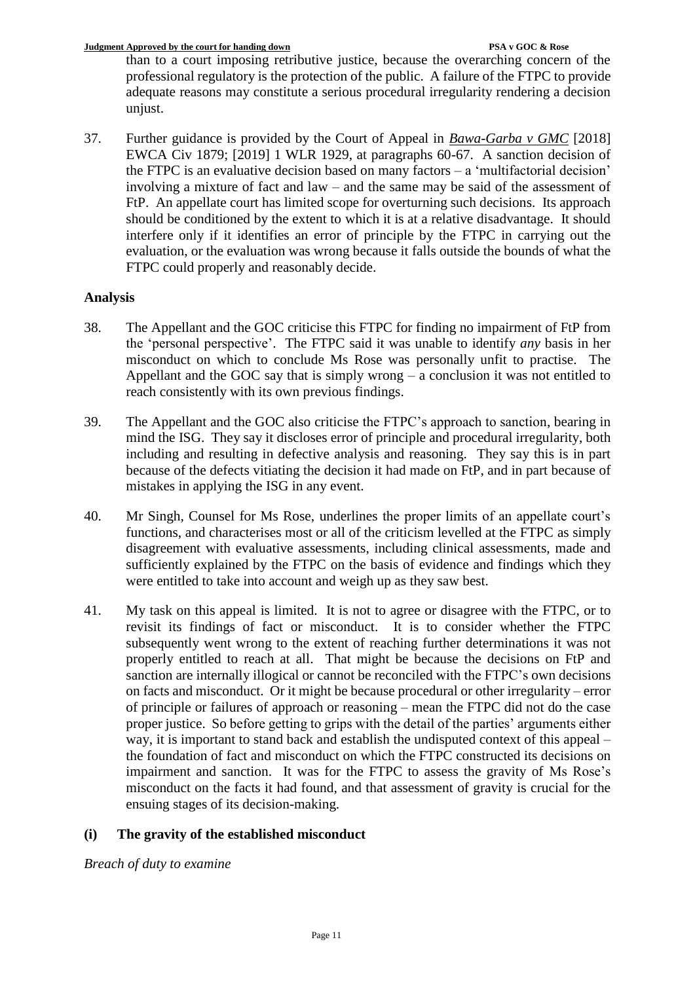than to a court imposing retributive justice, because the overarching concern of the professional regulatory is the protection of the public. A failure of the FTPC to provide adequate reasons may constitute a serious procedural irregularity rendering a decision unjust.

37. Further guidance is provided by the Court of Appeal in *Bawa-Garba v GMC* [2018] EWCA Civ 1879; [2019] 1 WLR 1929, at paragraphs 60-67. A sanction decision of the FTPC is an evaluative decision based on many factors – a 'multifactorial decision' involving a mixture of fact and law – and the same may be said of the assessment of FtP. An appellate court has limited scope for overturning such decisions. Its approach should be conditioned by the extent to which it is at a relative disadvantage. It should interfere only if it identifies an error of principle by the FTPC in carrying out the evaluation, or the evaluation was wrong because it falls outside the bounds of what the FTPC could properly and reasonably decide.

# **Analysis**

- 38. The Appellant and the GOC criticise this FTPC for finding no impairment of FtP from the 'personal perspective'. The FTPC said it was unable to identify *any* basis in her misconduct on which to conclude Ms Rose was personally unfit to practise. The Appellant and the GOC say that is simply wrong – a conclusion it was not entitled to reach consistently with its own previous findings.
- 39. The Appellant and the GOC also criticise the FTPC's approach to sanction, bearing in mind the ISG. They say it discloses error of principle and procedural irregularity, both including and resulting in defective analysis and reasoning. They say this is in part because of the defects vitiating the decision it had made on FtP, and in part because of mistakes in applying the ISG in any event.
- 40. Mr Singh, Counsel for Ms Rose, underlines the proper limits of an appellate court's functions, and characterises most or all of the criticism levelled at the FTPC as simply disagreement with evaluative assessments, including clinical assessments, made and sufficiently explained by the FTPC on the basis of evidence and findings which they were entitled to take into account and weigh up as they saw best.
- 41. My task on this appeal is limited. It is not to agree or disagree with the FTPC, or to revisit its findings of fact or misconduct. It is to consider whether the FTPC subsequently went wrong to the extent of reaching further determinations it was not properly entitled to reach at all. That might be because the decisions on FtP and sanction are internally illogical or cannot be reconciled with the FTPC's own decisions on facts and misconduct. Or it might be because procedural or other irregularity – error of principle or failures of approach or reasoning – mean the FTPC did not do the case proper justice. So before getting to grips with the detail of the parties' arguments either way, it is important to stand back and establish the undisputed context of this appeal – the foundation of fact and misconduct on which the FTPC constructed its decisions on impairment and sanction. It was for the FTPC to assess the gravity of Ms Rose's misconduct on the facts it had found, and that assessment of gravity is crucial for the ensuing stages of its decision-making.

# **(i) The gravity of the established misconduct**

# *Breach of duty to examine*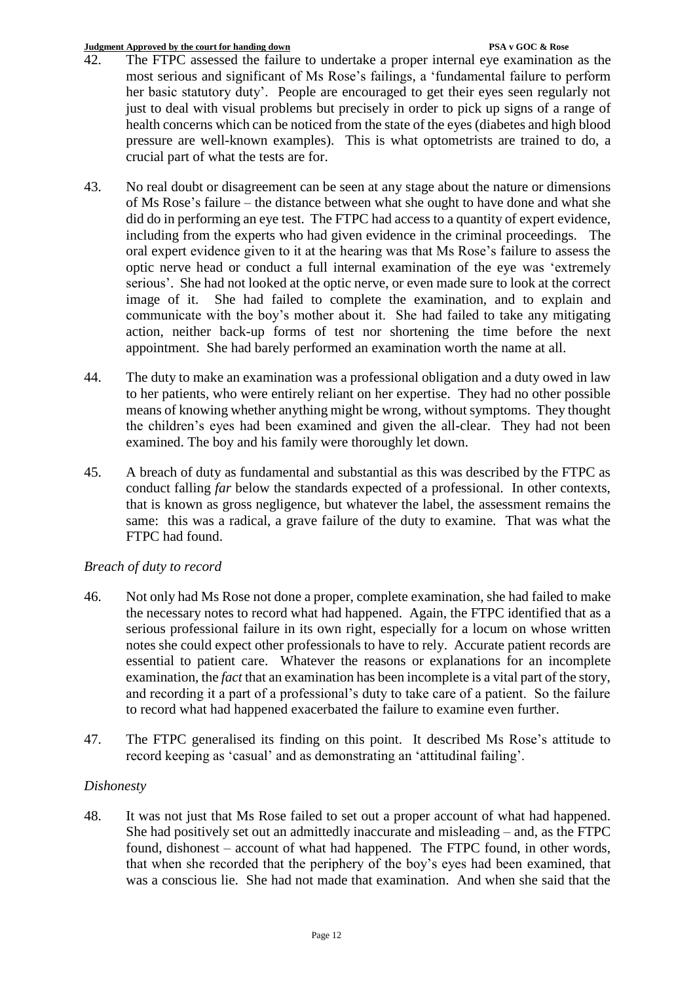- 42. The FTPC assessed the failure to undertake a proper internal eye examination as the most serious and significant of Ms Rose's failings, a 'fundamental failure to perform her basic statutory duty'. People are encouraged to get their eyes seen regularly not just to deal with visual problems but precisely in order to pick up signs of a range of health concerns which can be noticed from the state of the eyes (diabetes and high blood pressure are well-known examples). This is what optometrists are trained to do, a crucial part of what the tests are for.
- 43. No real doubt or disagreement can be seen at any stage about the nature or dimensions of Ms Rose's failure – the distance between what she ought to have done and what she did do in performing an eye test. The FTPC had access to a quantity of expert evidence, including from the experts who had given evidence in the criminal proceedings. The oral expert evidence given to it at the hearing was that Ms Rose's failure to assess the optic nerve head or conduct a full internal examination of the eye was 'extremely serious'. She had not looked at the optic nerve, or even made sure to look at the correct image of it. She had failed to complete the examination, and to explain and communicate with the boy's mother about it. She had failed to take any mitigating action, neither back-up forms of test nor shortening the time before the next appointment. She had barely performed an examination worth the name at all.
- 44. The duty to make an examination was a professional obligation and a duty owed in law to her patients, who were entirely reliant on her expertise. They had no other possible means of knowing whether anything might be wrong, without symptoms. They thought the children's eyes had been examined and given the all-clear. They had not been examined. The boy and his family were thoroughly let down.
- 45. A breach of duty as fundamental and substantial as this was described by the FTPC as conduct falling *far* below the standards expected of a professional. In other contexts, that is known as gross negligence, but whatever the label, the assessment remains the same: this was a radical, a grave failure of the duty to examine. That was what the FTPC had found.

# *Breach of duty to record*

- 46. Not only had Ms Rose not done a proper, complete examination, she had failed to make the necessary notes to record what had happened. Again, the FTPC identified that as a serious professional failure in its own right, especially for a locum on whose written notes she could expect other professionals to have to rely. Accurate patient records are essential to patient care. Whatever the reasons or explanations for an incomplete examination, the *fact* that an examination has been incomplete is a vital part of the story, and recording it a part of a professional's duty to take care of a patient. So the failure to record what had happened exacerbated the failure to examine even further.
- 47. The FTPC generalised its finding on this point. It described Ms Rose's attitude to record keeping as 'casual' and as demonstrating an 'attitudinal failing'.

# *Dishonesty*

48. It was not just that Ms Rose failed to set out a proper account of what had happened. She had positively set out an admittedly inaccurate and misleading – and, as the FTPC found, dishonest – account of what had happened. The FTPC found, in other words, that when she recorded that the periphery of the boy's eyes had been examined, that was a conscious lie. She had not made that examination. And when she said that the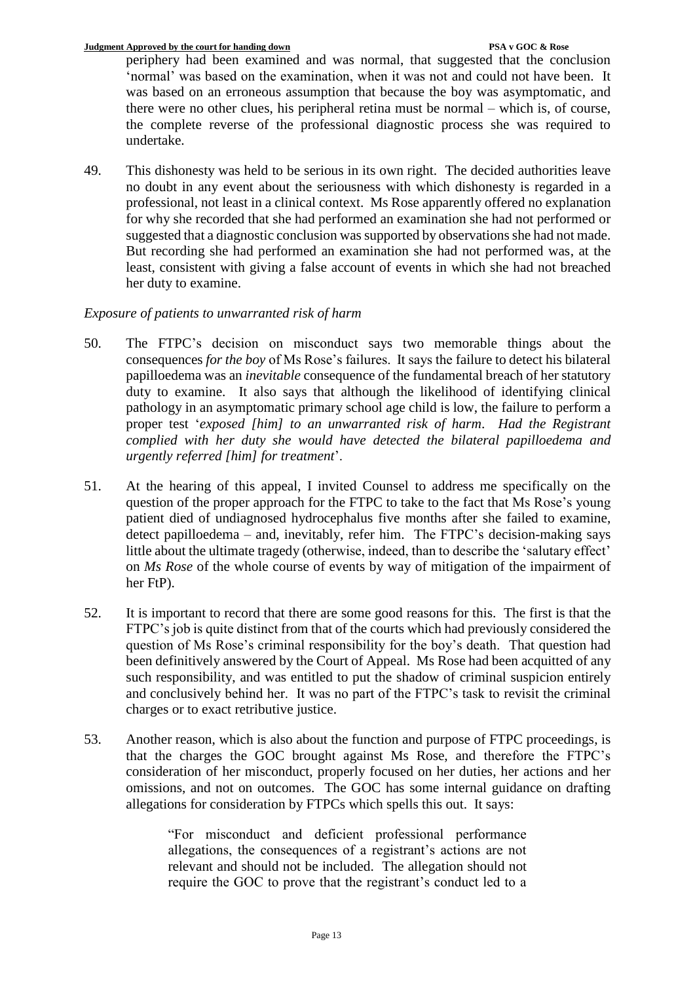periphery had been examined and was normal, that suggested that the conclusion 'normal' was based on the examination, when it was not and could not have been. It was based on an erroneous assumption that because the boy was asymptomatic, and there were no other clues, his peripheral retina must be normal – which is, of course, the complete reverse of the professional diagnostic process she was required to undertake.

49. This dishonesty was held to be serious in its own right. The decided authorities leave no doubt in any event about the seriousness with which dishonesty is regarded in a professional, not least in a clinical context. Ms Rose apparently offered no explanation for why she recorded that she had performed an examination she had not performed or suggested that a diagnostic conclusion was supported by observations she had not made. But recording she had performed an examination she had not performed was, at the least, consistent with giving a false account of events in which she had not breached her duty to examine.

# *Exposure of patients to unwarranted risk of harm*

- 50. The FTPC's decision on misconduct says two memorable things about the consequences *for the boy* of Ms Rose's failures. It says the failure to detect his bilateral papilloedema was an *inevitable* consequence of the fundamental breach of her statutory duty to examine. It also says that although the likelihood of identifying clinical pathology in an asymptomatic primary school age child is low, the failure to perform a proper test '*exposed [him] to an unwarranted risk of harm*. *Had the Registrant complied with her duty she would have detected the bilateral papilloedema and urgently referred [him] for treatment*'.
- 51. At the hearing of this appeal, I invited Counsel to address me specifically on the question of the proper approach for the FTPC to take to the fact that Ms Rose's young patient died of undiagnosed hydrocephalus five months after she failed to examine, detect papilloedema – and, inevitably, refer him. The FTPC's decision-making says little about the ultimate tragedy (otherwise, indeed, than to describe the 'salutary effect' on *Ms Rose* of the whole course of events by way of mitigation of the impairment of her FtP).
- 52. It is important to record that there are some good reasons for this. The first is that the FTPC's job is quite distinct from that of the courts which had previously considered the question of Ms Rose's criminal responsibility for the boy's death. That question had been definitively answered by the Court of Appeal. Ms Rose had been acquitted of any such responsibility, and was entitled to put the shadow of criminal suspicion entirely and conclusively behind her. It was no part of the FTPC's task to revisit the criminal charges or to exact retributive justice.
- 53. Another reason, which is also about the function and purpose of FTPC proceedings, is that the charges the GOC brought against Ms Rose, and therefore the FTPC's consideration of her misconduct, properly focused on her duties, her actions and her omissions, and not on outcomes. The GOC has some internal guidance on drafting allegations for consideration by FTPCs which spells this out. It says:

"For misconduct and deficient professional performance allegations, the consequences of a registrant's actions are not relevant and should not be included. The allegation should not require the GOC to prove that the registrant's conduct led to a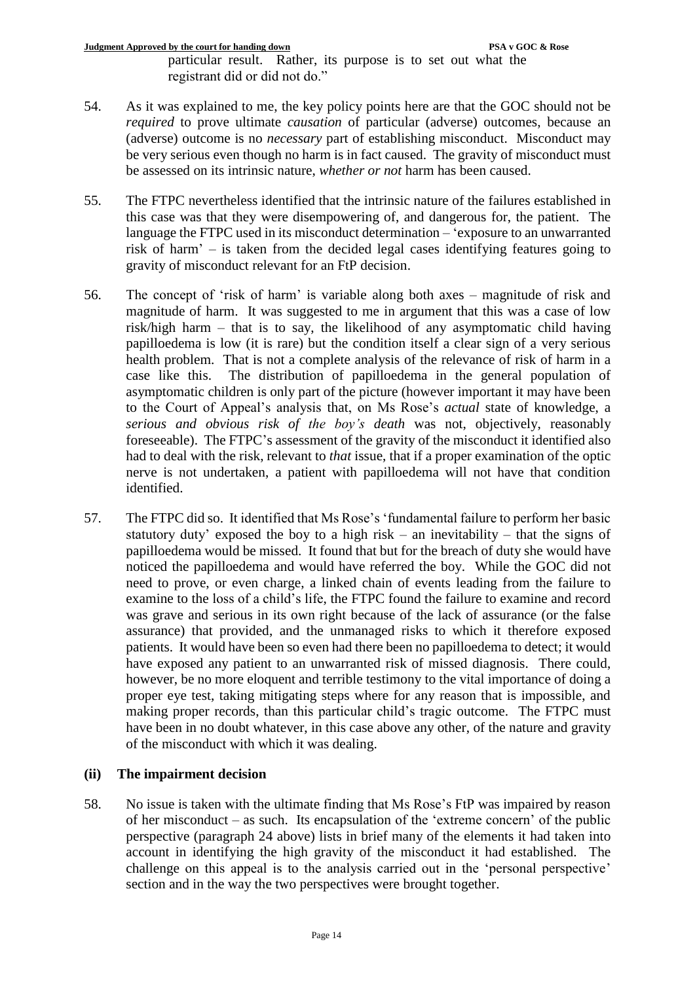particular result. Rather, its purpose is to set out what the registrant did or did not do."

- 54. As it was explained to me, the key policy points here are that the GOC should not be *required* to prove ultimate *causation* of particular (adverse) outcomes, because an (adverse) outcome is no *necessary* part of establishing misconduct. Misconduct may be very serious even though no harm is in fact caused. The gravity of misconduct must be assessed on its intrinsic nature, *whether or not* harm has been caused.
- 55. The FTPC nevertheless identified that the intrinsic nature of the failures established in this case was that they were disempowering of, and dangerous for, the patient. The language the FTPC used in its misconduct determination – 'exposure to an unwarranted risk of harm' – is taken from the decided legal cases identifying features going to gravity of misconduct relevant for an FtP decision.
- 56. The concept of 'risk of harm' is variable along both axes magnitude of risk and magnitude of harm. It was suggested to me in argument that this was a case of low risk/high harm – that is to say, the likelihood of any asymptomatic child having papilloedema is low (it is rare) but the condition itself a clear sign of a very serious health problem. That is not a complete analysis of the relevance of risk of harm in a case like this. The distribution of papilloedema in the general population of asymptomatic children is only part of the picture (however important it may have been to the Court of Appeal's analysis that, on Ms Rose's *actual* state of knowledge, a *serious and obvious risk of the boy's death* was not, objectively, reasonably foreseeable). The FTPC's assessment of the gravity of the misconduct it identified also had to deal with the risk, relevant to *that* issue, that if a proper examination of the optic nerve is not undertaken, a patient with papilloedema will not have that condition identified.
- 57. The FTPC did so. It identified that Ms Rose's 'fundamental failure to perform her basic statutory duty' exposed the boy to a high risk – an inevitability – that the signs of papilloedema would be missed. It found that but for the breach of duty she would have noticed the papilloedema and would have referred the boy. While the GOC did not need to prove, or even charge, a linked chain of events leading from the failure to examine to the loss of a child's life, the FTPC found the failure to examine and record was grave and serious in its own right because of the lack of assurance (or the false assurance) that provided, and the unmanaged risks to which it therefore exposed patients. It would have been so even had there been no papilloedema to detect; it would have exposed any patient to an unwarranted risk of missed diagnosis. There could, however, be no more eloquent and terrible testimony to the vital importance of doing a proper eye test, taking mitigating steps where for any reason that is impossible, and making proper records, than this particular child's tragic outcome. The FTPC must have been in no doubt whatever, in this case above any other, of the nature and gravity of the misconduct with which it was dealing.

# **(ii) The impairment decision**

58. No issue is taken with the ultimate finding that Ms Rose's FtP was impaired by reason of her misconduct – as such. Its encapsulation of the 'extreme concern' of the public perspective (paragraph 24 above) lists in brief many of the elements it had taken into account in identifying the high gravity of the misconduct it had established. The challenge on this appeal is to the analysis carried out in the 'personal perspective' section and in the way the two perspectives were brought together.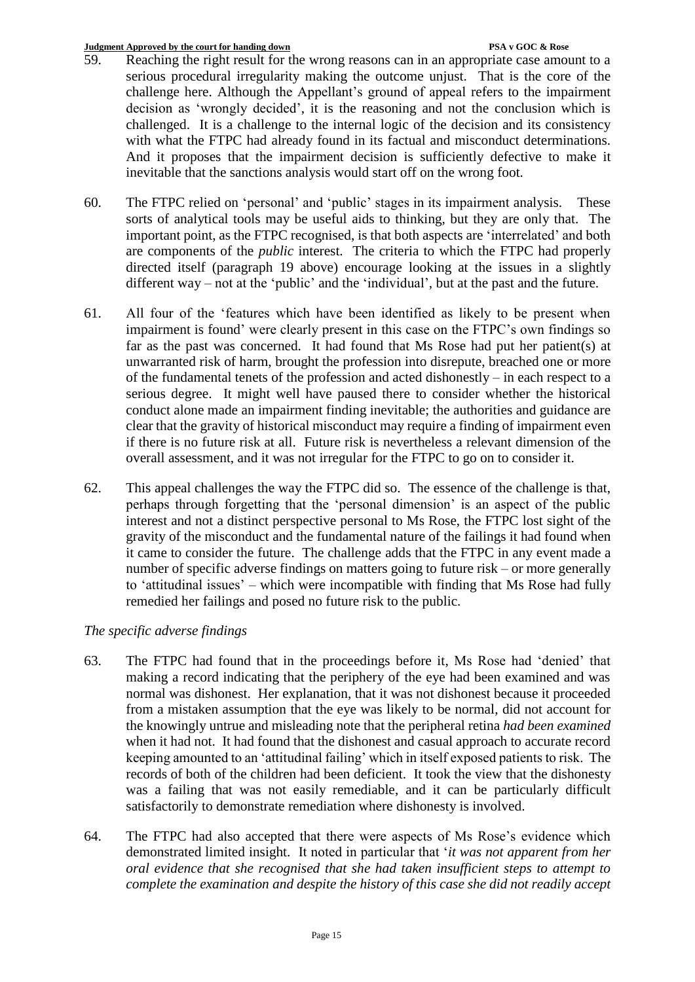- 59. Reaching the right result for the wrong reasons can in an appropriate case amount to a serious procedural irregularity making the outcome unjust. That is the core of the challenge here. Although the Appellant's ground of appeal refers to the impairment decision as 'wrongly decided', it is the reasoning and not the conclusion which is challenged. It is a challenge to the internal logic of the decision and its consistency with what the FTPC had already found in its factual and misconduct determinations. And it proposes that the impairment decision is sufficiently defective to make it inevitable that the sanctions analysis would start off on the wrong foot.
- 60. The FTPC relied on 'personal' and 'public' stages in its impairment analysis. These sorts of analytical tools may be useful aids to thinking, but they are only that. The important point, as the FTPC recognised, is that both aspects are 'interrelated' and both are components of the *public* interest. The criteria to which the FTPC had properly directed itself (paragraph 19 above) encourage looking at the issues in a slightly different way – not at the 'public' and the 'individual', but at the past and the future.
- 61. All four of the 'features which have been identified as likely to be present when impairment is found' were clearly present in this case on the FTPC's own findings so far as the past was concerned. It had found that Ms Rose had put her patient(s) at unwarranted risk of harm, brought the profession into disrepute, breached one or more of the fundamental tenets of the profession and acted dishonestly – in each respect to a serious degree. It might well have paused there to consider whether the historical conduct alone made an impairment finding inevitable; the authorities and guidance are clear that the gravity of historical misconduct may require a finding of impairment even if there is no future risk at all. Future risk is nevertheless a relevant dimension of the overall assessment, and it was not irregular for the FTPC to go on to consider it.
- 62. This appeal challenges the way the FTPC did so. The essence of the challenge is that, perhaps through forgetting that the 'personal dimension' is an aspect of the public interest and not a distinct perspective personal to Ms Rose, the FTPC lost sight of the gravity of the misconduct and the fundamental nature of the failings it had found when it came to consider the future. The challenge adds that the FTPC in any event made a number of specific adverse findings on matters going to future risk – or more generally to 'attitudinal issues' – which were incompatible with finding that Ms Rose had fully remedied her failings and posed no future risk to the public.

# *The specific adverse findings*

- 63. The FTPC had found that in the proceedings before it, Ms Rose had 'denied' that making a record indicating that the periphery of the eye had been examined and was normal was dishonest. Her explanation, that it was not dishonest because it proceeded from a mistaken assumption that the eye was likely to be normal, did not account for the knowingly untrue and misleading note that the peripheral retina *had been examined* when it had not. It had found that the dishonest and casual approach to accurate record keeping amounted to an 'attitudinal failing' which in itself exposed patients to risk. The records of both of the children had been deficient. It took the view that the dishonesty was a failing that was not easily remediable, and it can be particularly difficult satisfactorily to demonstrate remediation where dishonesty is involved.
- 64. The FTPC had also accepted that there were aspects of Ms Rose's evidence which demonstrated limited insight. It noted in particular that '*it was not apparent from her oral evidence that she recognised that she had taken insufficient steps to attempt to complete the examination and despite the history of this case she did not readily accept*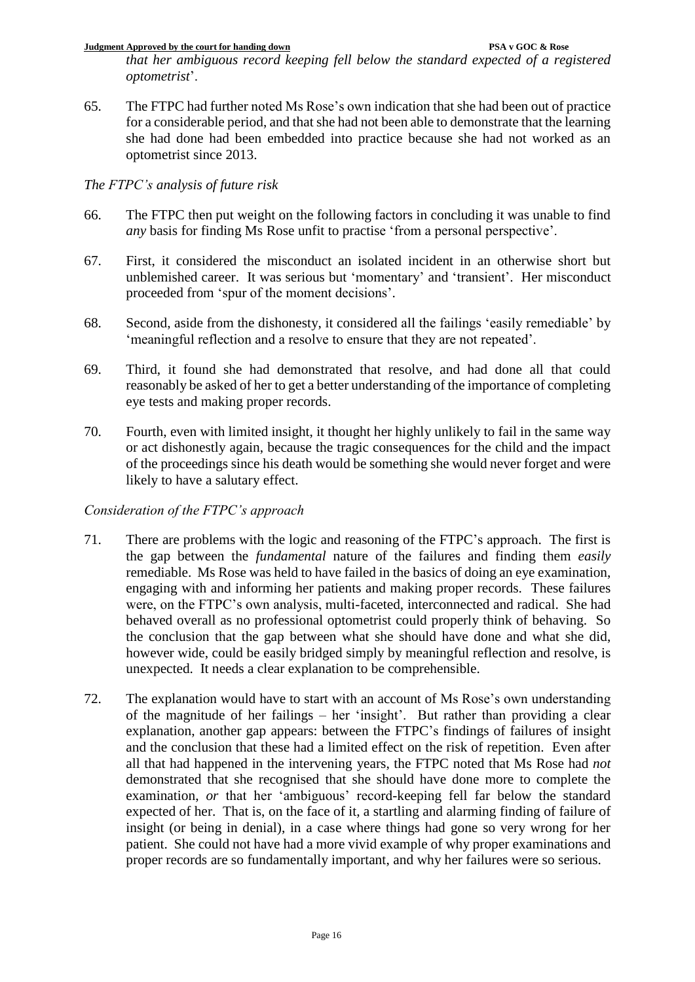**Judgment Approved by the court for handing down PSA v GOC & Rose** *that her ambiguous record keeping fell below the standard expected of a registered optometrist*'.

65. The FTPC had further noted Ms Rose's own indication that she had been out of practice for a considerable period, and that she had not been able to demonstrate that the learning she had done had been embedded into practice because she had not worked as an optometrist since 2013.

# *The FTPC's analysis of future risk*

- 66. The FTPC then put weight on the following factors in concluding it was unable to find *any* basis for finding Ms Rose unfit to practise 'from a personal perspective'.
- 67. First, it considered the misconduct an isolated incident in an otherwise short but unblemished career. It was serious but 'momentary' and 'transient'. Her misconduct proceeded from 'spur of the moment decisions'.
- 68. Second, aside from the dishonesty, it considered all the failings 'easily remediable' by 'meaningful reflection and a resolve to ensure that they are not repeated'.
- 69. Third, it found she had demonstrated that resolve, and had done all that could reasonably be asked of her to get a better understanding of the importance of completing eye tests and making proper records.
- 70. Fourth, even with limited insight, it thought her highly unlikely to fail in the same way or act dishonestly again, because the tragic consequences for the child and the impact of the proceedings since his death would be something she would never forget and were likely to have a salutary effect.

# *Consideration of the FTPC's approach*

- 71. There are problems with the logic and reasoning of the FTPC's approach. The first is the gap between the *fundamental* nature of the failures and finding them *easily* remediable. Ms Rose was held to have failed in the basics of doing an eye examination, engaging with and informing her patients and making proper records. These failures were, on the FTPC's own analysis, multi-faceted, interconnected and radical. She had behaved overall as no professional optometrist could properly think of behaving. So the conclusion that the gap between what she should have done and what she did, however wide, could be easily bridged simply by meaningful reflection and resolve, is unexpected. It needs a clear explanation to be comprehensible.
- 72. The explanation would have to start with an account of Ms Rose's own understanding of the magnitude of her failings – her 'insight'. But rather than providing a clear explanation, another gap appears: between the FTPC's findings of failures of insight and the conclusion that these had a limited effect on the risk of repetition. Even after all that had happened in the intervening years, the FTPC noted that Ms Rose had *not* demonstrated that she recognised that she should have done more to complete the examination, *or* that her 'ambiguous' record-keeping fell far below the standard expected of her. That is, on the face of it, a startling and alarming finding of failure of insight (or being in denial), in a case where things had gone so very wrong for her patient. She could not have had a more vivid example of why proper examinations and proper records are so fundamentally important, and why her failures were so serious.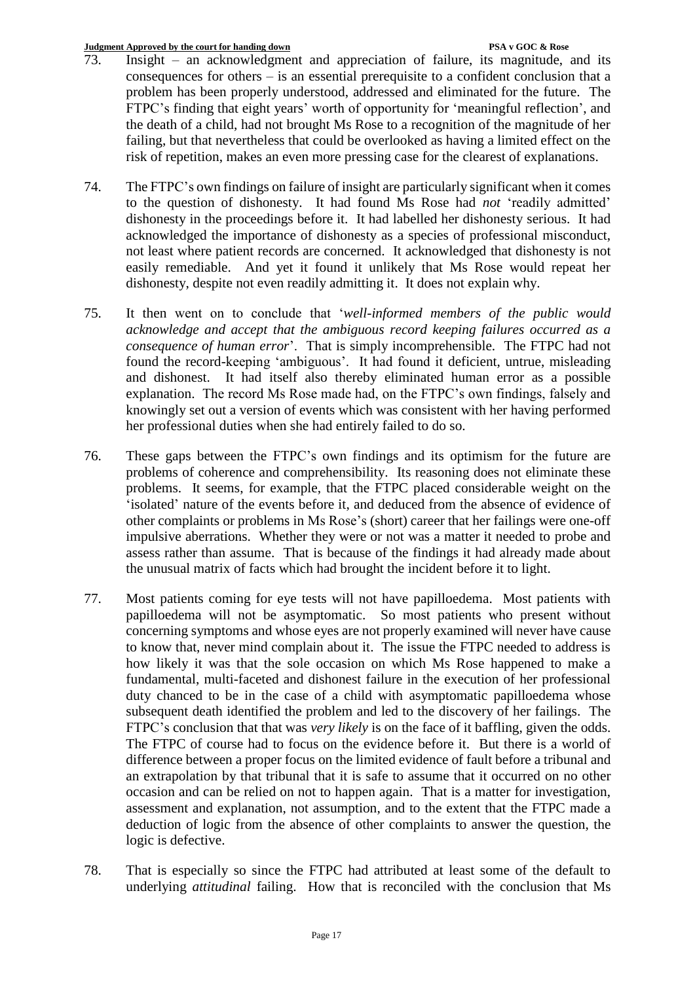- 73. Insight an acknowledgment and appreciation of failure, its magnitude, and its consequences for others – is an essential prerequisite to a confident conclusion that a problem has been properly understood, addressed and eliminated for the future. The FTPC's finding that eight years' worth of opportunity for 'meaningful reflection', and the death of a child, had not brought Ms Rose to a recognition of the magnitude of her failing, but that nevertheless that could be overlooked as having a limited effect on the risk of repetition, makes an even more pressing case for the clearest of explanations.
- 74. The FTPC's own findings on failure of insight are particularly significant when it comes to the question of dishonesty. It had found Ms Rose had *not* 'readily admitted' dishonesty in the proceedings before it. It had labelled her dishonesty serious. It had acknowledged the importance of dishonesty as a species of professional misconduct, not least where patient records are concerned. It acknowledged that dishonesty is not easily remediable. And yet it found it unlikely that Ms Rose would repeat her dishonesty, despite not even readily admitting it. It does not explain why.
- 75. It then went on to conclude that '*well-informed members of the public would acknowledge and accept that the ambiguous record keeping failures occurred as a consequence of human error*'. That is simply incomprehensible. The FTPC had not found the record-keeping 'ambiguous'. It had found it deficient, untrue, misleading and dishonest. It had itself also thereby eliminated human error as a possible explanation. The record Ms Rose made had, on the FTPC's own findings, falsely and knowingly set out a version of events which was consistent with her having performed her professional duties when she had entirely failed to do so.
- 76. These gaps between the FTPC's own findings and its optimism for the future are problems of coherence and comprehensibility. Its reasoning does not eliminate these problems. It seems, for example, that the FTPC placed considerable weight on the 'isolated' nature of the events before it, and deduced from the absence of evidence of other complaints or problems in Ms Rose's (short) career that her failings were one-off impulsive aberrations. Whether they were or not was a matter it needed to probe and assess rather than assume. That is because of the findings it had already made about the unusual matrix of facts which had brought the incident before it to light.
- 77. Most patients coming for eye tests will not have papilloedema. Most patients with papilloedema will not be asymptomatic. So most patients who present without concerning symptoms and whose eyes are not properly examined will never have cause to know that, never mind complain about it. The issue the FTPC needed to address is how likely it was that the sole occasion on which Ms Rose happened to make a fundamental, multi-faceted and dishonest failure in the execution of her professional duty chanced to be in the case of a child with asymptomatic papilloedema whose subsequent death identified the problem and led to the discovery of her failings. The FTPC's conclusion that that was *very likely* is on the face of it baffling, given the odds. The FTPC of course had to focus on the evidence before it. But there is a world of difference between a proper focus on the limited evidence of fault before a tribunal and an extrapolation by that tribunal that it is safe to assume that it occurred on no other occasion and can be relied on not to happen again. That is a matter for investigation, assessment and explanation, not assumption, and to the extent that the FTPC made a deduction of logic from the absence of other complaints to answer the question, the logic is defective.
- 78. That is especially so since the FTPC had attributed at least some of the default to underlying *attitudinal* failing. How that is reconciled with the conclusion that Ms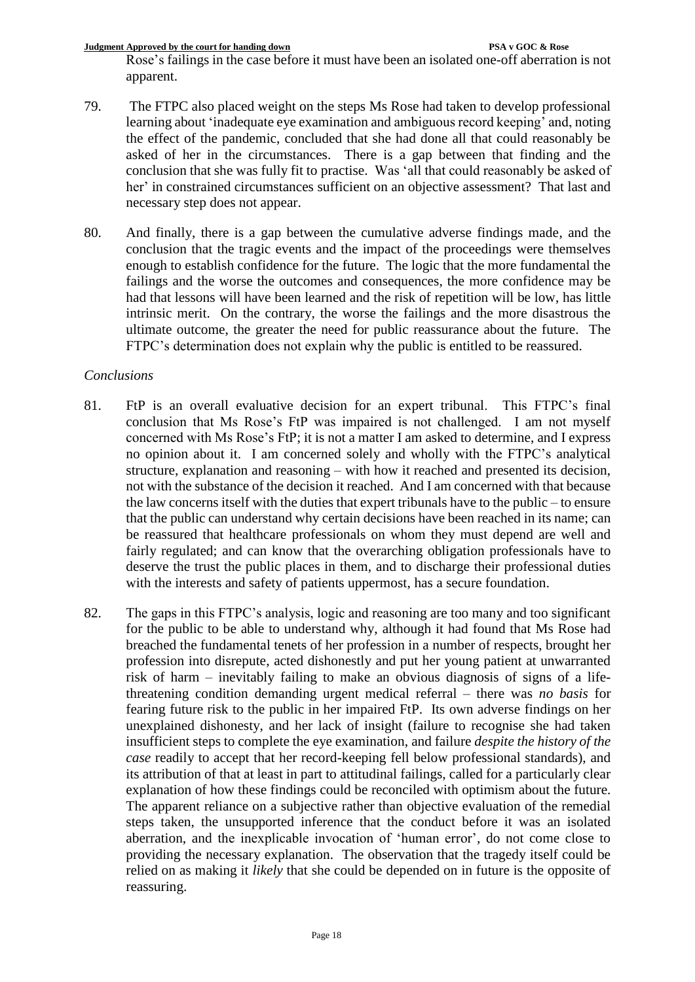**Judgment Approved by the court for handing down PSA v GOC & Rose** Rose's failings in the case before it must have been an isolated one-off aberration is not apparent.

- 79. The FTPC also placed weight on the steps Ms Rose had taken to develop professional learning about 'inadequate eye examination and ambiguous record keeping' and, noting the effect of the pandemic, concluded that she had done all that could reasonably be asked of her in the circumstances. There is a gap between that finding and the conclusion that she was fully fit to practise. Was 'all that could reasonably be asked of her' in constrained circumstances sufficient on an objective assessment? That last and necessary step does not appear.
- 80. And finally, there is a gap between the cumulative adverse findings made, and the conclusion that the tragic events and the impact of the proceedings were themselves enough to establish confidence for the future. The logic that the more fundamental the failings and the worse the outcomes and consequences, the more confidence may be had that lessons will have been learned and the risk of repetition will be low, has little intrinsic merit. On the contrary, the worse the failings and the more disastrous the ultimate outcome, the greater the need for public reassurance about the future. The FTPC's determination does not explain why the public is entitled to be reassured.

# *Conclusions*

- 81. FtP is an overall evaluative decision for an expert tribunal. This FTPC's final conclusion that Ms Rose's FtP was impaired is not challenged. I am not myself concerned with Ms Rose's FtP; it is not a matter I am asked to determine, and I express no opinion about it. I am concerned solely and wholly with the FTPC's analytical structure, explanation and reasoning – with how it reached and presented its decision, not with the substance of the decision it reached. And I am concerned with that because the law concerns itself with the duties that expert tribunals have to the public – to ensure that the public can understand why certain decisions have been reached in its name; can be reassured that healthcare professionals on whom they must depend are well and fairly regulated; and can know that the overarching obligation professionals have to deserve the trust the public places in them, and to discharge their professional duties with the interests and safety of patients uppermost, has a secure foundation.
- 82. The gaps in this FTPC's analysis, logic and reasoning are too many and too significant for the public to be able to understand why, although it had found that Ms Rose had breached the fundamental tenets of her profession in a number of respects, brought her profession into disrepute, acted dishonestly and put her young patient at unwarranted risk of harm – inevitably failing to make an obvious diagnosis of signs of a lifethreatening condition demanding urgent medical referral – there was *no basis* for fearing future risk to the public in her impaired FtP. Its own adverse findings on her unexplained dishonesty, and her lack of insight (failure to recognise she had taken insufficient steps to complete the eye examination, and failure *despite the history of the case* readily to accept that her record-keeping fell below professional standards), and its attribution of that at least in part to attitudinal failings, called for a particularly clear explanation of how these findings could be reconciled with optimism about the future. The apparent reliance on a subjective rather than objective evaluation of the remedial steps taken, the unsupported inference that the conduct before it was an isolated aberration, and the inexplicable invocation of 'human error', do not come close to providing the necessary explanation. The observation that the tragedy itself could be relied on as making it *likely* that she could be depended on in future is the opposite of reassuring.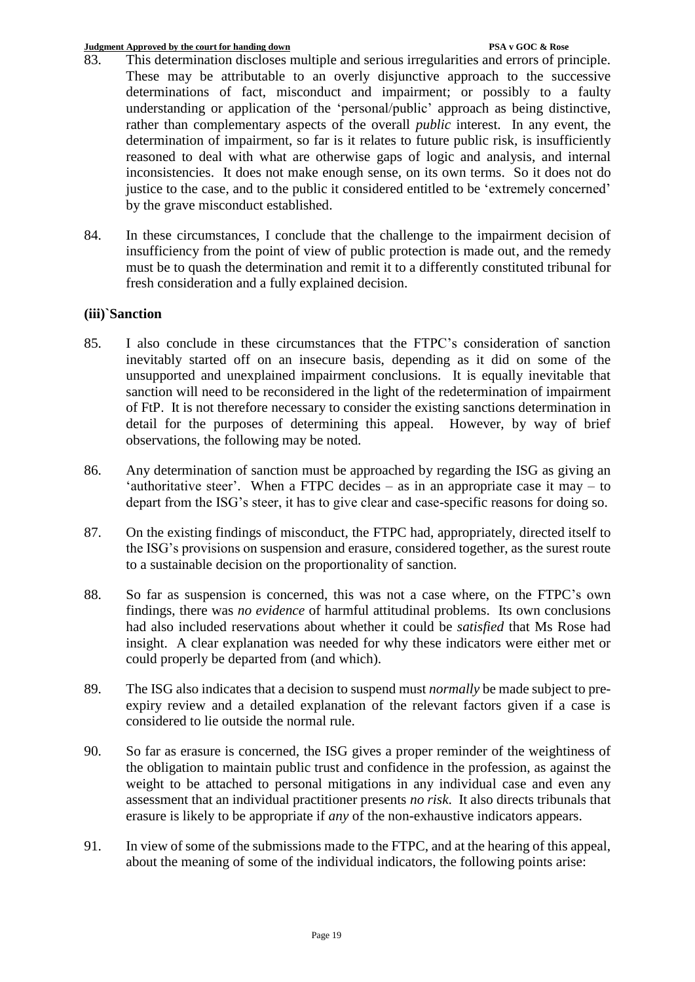- 83. This determination discloses multiple and serious irregularities and errors of principle. These may be attributable to an overly disjunctive approach to the successive determinations of fact, misconduct and impairment; or possibly to a faulty understanding or application of the 'personal/public' approach as being distinctive, rather than complementary aspects of the overall *public* interest. In any event, the determination of impairment, so far is it relates to future public risk, is insufficiently reasoned to deal with what are otherwise gaps of logic and analysis, and internal inconsistencies. It does not make enough sense, on its own terms. So it does not do justice to the case, and to the public it considered entitled to be 'extremely concerned' by the grave misconduct established.
- 84. In these circumstances, I conclude that the challenge to the impairment decision of insufficiency from the point of view of public protection is made out, and the remedy must be to quash the determination and remit it to a differently constituted tribunal for fresh consideration and a fully explained decision.

## **(iii)`Sanction**

- 85. I also conclude in these circumstances that the FTPC's consideration of sanction inevitably started off on an insecure basis, depending as it did on some of the unsupported and unexplained impairment conclusions. It is equally inevitable that sanction will need to be reconsidered in the light of the redetermination of impairment of FtP. It is not therefore necessary to consider the existing sanctions determination in detail for the purposes of determining this appeal. However, by way of brief observations, the following may be noted.
- 86. Any determination of sanction must be approached by regarding the ISG as giving an 'authoritative steer'. When a FTPC decides  $-$  as in an appropriate case it may  $-$  to depart from the ISG's steer, it has to give clear and case-specific reasons for doing so.
- 87. On the existing findings of misconduct, the FTPC had, appropriately, directed itself to the ISG's provisions on suspension and erasure, considered together, as the surest route to a sustainable decision on the proportionality of sanction.
- 88. So far as suspension is concerned, this was not a case where, on the FTPC's own findings, there was *no evidence* of harmful attitudinal problems. Its own conclusions had also included reservations about whether it could be *satisfied* that Ms Rose had insight. A clear explanation was needed for why these indicators were either met or could properly be departed from (and which).
- 89. The ISG also indicates that a decision to suspend must *normally* be made subject to preexpiry review and a detailed explanation of the relevant factors given if a case is considered to lie outside the normal rule.
- 90. So far as erasure is concerned, the ISG gives a proper reminder of the weightiness of the obligation to maintain public trust and confidence in the profession, as against the weight to be attached to personal mitigations in any individual case and even any assessment that an individual practitioner presents *no risk*. It also directs tribunals that erasure is likely to be appropriate if *any* of the non-exhaustive indicators appears.
- 91. In view of some of the submissions made to the FTPC, and at the hearing of this appeal, about the meaning of some of the individual indicators, the following points arise: